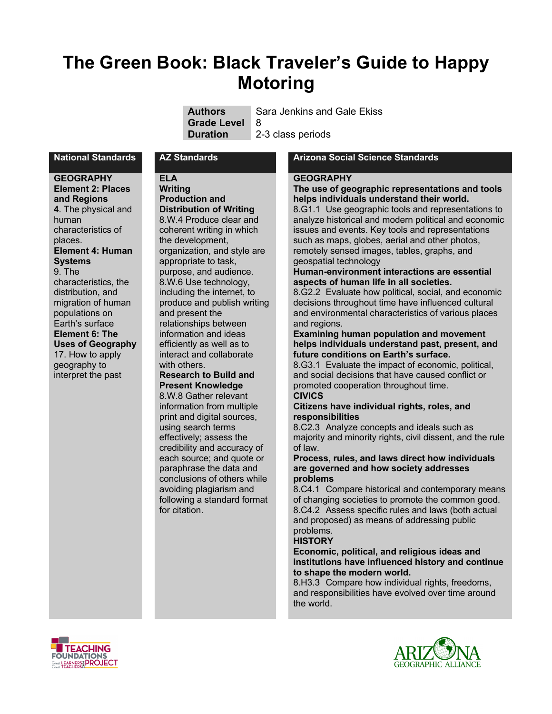# **The Green Book: Black Traveler's Guide to Happy Motoring**

| <b>Authors</b>       | Sara Jenkins and Gale Ekiss |
|----------------------|-----------------------------|
| <b>Grade Level</b> 8 |                             |
| Duration             | 2-3 class periods           |

**GEOGRAPHY Element 2: Places and Regions 4**. The physical and human characteristics of places. **Element 4: Human Systems** 9. The characteristics, the distribution, and migration of human populations on Earth's surface **Element 6: The Uses of Geography** 17. How to apply geography to interpret the past

## **ELA**

**Writing Production and Distribution of Writing** 8.W.4 Produce clear and coherent writing in which the development, organization, and style are appropriate to task, purpose, and audience. 8.W.6 Use technology, including the internet, to produce and publish writing and present the relationships between information and ideas efficiently as well as to interact and collaborate with others.

#### **Research to Build and Present Knowledge** 8.W.8 Gather relevant

information from multiple print and digital sources, using search terms effectively; assess the credibility and accuracy of each source; and quote or paraphrase the data and conclusions of others while avoiding plagiarism and following a standard format for citation.

#### **National Standards AZ Standards Arizona Social Science Standards**

#### **GEOGRAPHY**

#### **The use of geographic representations and tools helps individuals understand their world.**

8.G1.1 Use geographic tools and representations to analyze historical and modern political and economic issues and events. Key tools and representations such as maps, globes, aerial and other photos, remotely sensed images, tables, graphs, and geospatial technology

#### **Human-environment interactions are essential aspects of human life in all societies.**

8.G2.2 Evaluate how political, social, and economic decisions throughout time have influenced cultural and environmental characteristics of various places and regions.

#### **Examining human population and movement helps individuals understand past, present, and future conditions on Earth's surface.**

8.G3.1 Evaluate the impact of economic, political, and social decisions that have caused conflict or promoted cooperation throughout time.

## **CIVICS**

#### **Citizens have individual rights, roles, and responsibilities**

8.C2.3 Analyze concepts and ideals such as majority and minority rights, civil dissent, and the rule of law.

#### **Process, rules, and laws direct how individuals are governed and how society addresses problems**

8.C4.1 Compare historical and contemporary means of changing societies to promote the common good. 8.C4.2 Assess specific rules and laws (both actual and proposed) as means of addressing public problems.

## **HISTORY**

### **Economic, political, and religious ideas and institutions have influenced history and continue to shape the modern world.**

8.H3.3 Compare how individual rights, freedoms, and responsibilities have evolved over time around the world.



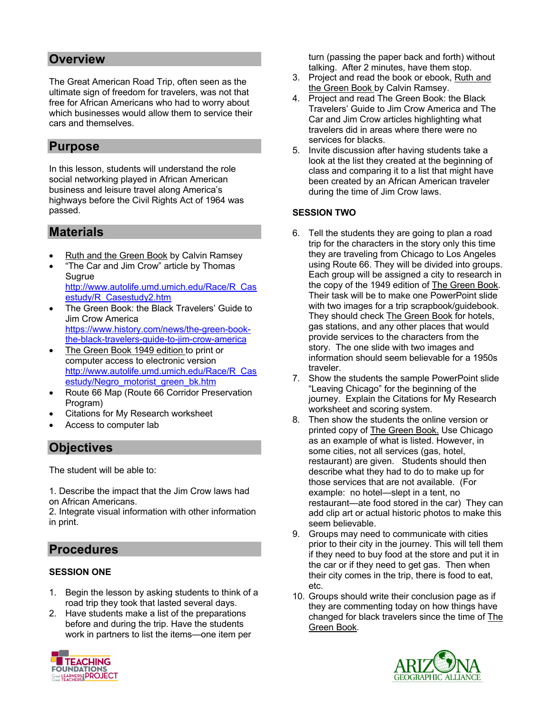## **Overview**

The Great American Road Trip, often seen as the ultimate sign of freedom for travelers, was not that free for African Americans who had to worry about which businesses would allow them to service their cars and themselves.

## **Purpose**

In this lesson, students will understand the role social networking played in African American business and leisure travel along America's highways before the Civil Rights Act of 1964 was passed.

## **Materials**

- **Ruth and the Green Book by Calvin Ramsey**
- "The Car and Jim Crow" article by Thomas Sugrue http://www.autolife.umd.umich.edu/Race/R\_Cas
- estudy/R\_Casestudy2.htm • The Green Book: the Black Travelers' Guide to Jim Crow America https://www.history.com/news/the-green-bookthe-black-travelers-guide-to-jim-crow-america
- The Green Book 1949 edition to print or computer access to electronic version http://www.autolife.umd.umich.edu/Race/R\_Cas estudy/Negro\_motorist\_green\_bk.htm
- Route 66 Map (Route 66 Corridor Preservation Program)
- Citations for My Research worksheet
- Access to computer lab

## **Objectives**

The student will be able to:

1. Describe the impact that the Jim Crow laws had on African Americans.

2. Integrate visual information with other information in print.

## **Procedures**

## **SESSION ONE**

- 1. Begin the lesson by asking students to think of a road trip they took that lasted several days.
- 2. Have students make a list of the preparations before and during the trip. Have the students work in partners to list the items—one item per



turn (passing the paper back and forth) without talking. After 2 minutes, have them stop.

- 3. Project and read the book or ebook, Ruth and the Green Book by Calvin Ramsey.
- 4. Project and read The Green Book: the Black Travelers' Guide to Jim Crow America and The Car and Jim Crow articles highlighting what travelers did in areas where there were no services for blacks.
- 5. Invite discussion after having students take a look at the list they created at the beginning of class and comparing it to a list that might have been created by an African American traveler during the time of Jim Crow laws.

## **SESSION TWO**

- 6. Tell the students they are going to plan a road trip for the characters in the story only this time they are traveling from Chicago to Los Angeles using Route 66. They will be divided into groups. Each group will be assigned a city to research in the copy of the 1949 edition of The Green Book. Their task will be to make one PowerPoint slide with two images for a trip scrapbook/guidebook. They should check The Green Book for hotels, gas stations, and any other places that would provide services to the characters from the story. The one slide with two images and information should seem believable for a 1950s traveler.
- 7. Show the students the sample PowerPoint slide "Leaving Chicago" for the beginning of the journey. Explain the Citations for My Research worksheet and scoring system.
- 8. Then show the students the online version or printed copy of The Green Book. Use Chicago as an example of what is listed. However, in some cities, not all services (gas, hotel, restaurant) are given. Students should then describe what they had to do to make up for those services that are not available. (For example: no hotel—slept in a tent, no restaurant—ate food stored in the car) They can add clip art or actual historic photos to make this seem believable.
- 9. Groups may need to communicate with cities prior to their city in the journey. This will tell them if they need to buy food at the store and put it in the car or if they need to get gas. Then when their city comes in the trip, there is food to eat, etc.
- 10. Groups should write their conclusion page as if they are commenting today on how things have changed for black travelers since the time of The Green Book.